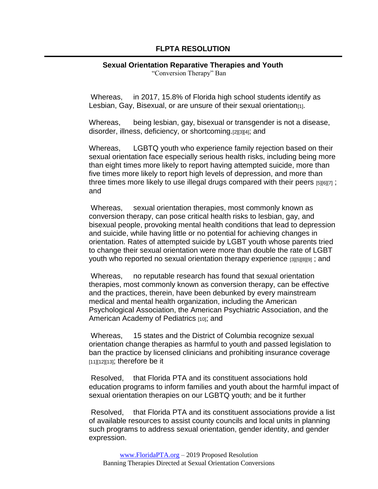## **FLPTA RESOLUTION**

## **Sexual Orientation Reparative Therapies and Youth**

"Conversion Therapy" Ban

Whereas, in 2017, 15.8% of Florida high school students identify as Lesbian, Gay, Bisexual, or are unsure of their sexual orientation

Whereas, being lesbian, gay, bisexual or transgender is not a disease, disorder, illness, deficiency, or shortcoming.[2][3][4]; and

Whereas, LGBTQ youth who experience family rejection based on their sexual orientation face especially serious health risks, including being more than eight times more likely to report having attempted suicide, more than five times more likely to report high levels of depression, and more than three times more likely to use illegal drugs compared with their peers [5][6][7] ; and

Whereas, sexual orientation therapies, most commonly known as conversion therapy, can pose critical health risks to lesbian, gay, and bisexual people, provoking mental health conditions that lead to depression and suicide, while having little or no potential for achieving changes in orientation. Rates of attempted suicide by LGBT youth whose parents tried to change their sexual orientation were more than double the rate of LGBT youth who reported no sexual orientation therapy experience [3][5][8][9] ; and

Whereas, no reputable research has found that sexual orientation therapies, most commonly known as conversion therapy, can be effective and the practices, therein, have been debunked by every mainstream medical and mental health organization, including the American Psychological Association, the American Psychiatric Association, and the American Academy of Pediatrics [10]; and

Whereas, 15 states and the District of Columbia recognize sexual orientation change therapies as harmful to youth and passed legislation to ban the practice by licensed clinicians and prohibiting insurance coverage [11][12][13]; therefore be it

Resolved, that Florida PTA and its constituent associations hold education programs to inform families and youth about the harmful impact of sexual orientation therapies on our LGBTQ youth; and be it further

Resolved, that Florida PTA and its constituent associations provide a list of available resources to assist county councils and local units in planning such programs to address sexual orientation, gender identity, and gender expression.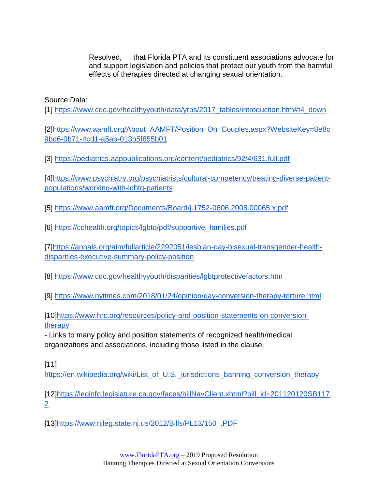Resolved, that Florida PTA and its constituent associations advocate for and support legislation and policies that protect our youth from the harmful effects of therapies directed at changing sexual orientation.

Source Data:

[1] [https://www.cdc.gov/healthyyouth/data/yrbs/2017\\_tables/introduction.htm#t4\\_down](https://www.cdc.gov/healthyyouth/data/yrbs/2017_tables/introduction.htm#t4_down)

[2[\]https://www.aamft.org/About\\_AAMFT/Position\\_On\\_Couples.aspx?WebsiteKey=8e8c](https://www.aamft.org/About_AAMFT/Position_On_Couples.aspx?WebsiteKey=8e8c9bd6-0b71-4cd1-a5ab-013b5f855b01) [9bd6-0b71-4cd1-a5ab-013b5f855b01](https://www.aamft.org/About_AAMFT/Position_On_Couples.aspx?WebsiteKey=8e8c9bd6-0b71-4cd1-a5ab-013b5f855b01)

[3]<https://pediatrics.aappublications.org/content/pediatrics/92/4/631.full.pdf>

[4[\]https://www.psychiatry.org/psychiatrists/cultural-competency/treating-diverse-patient](https://www.psychiatry.org/psychiatrists/cultural-competency/treating-diverse-patient-populations/working-with-lgbtq-patients)[populations/working-with-lgbtq-patients](https://www.psychiatry.org/psychiatrists/cultural-competency/treating-diverse-patient-populations/working-with-lgbtq-patients)

[5]<https://www.aamft.org/Documents/Board/j.1752-0606.2008.00065.x.pdf>

[6] [https://cchealth.org/topics/lgbtq/pdf/supportive\\_families.pdf](https://cchealth.org/topics/lgbtq/pdf/supportive_families.pdf)

[7[\]https://annals.org/aim/fullarticle/2292051/lesbian-gay-bisexual-transgender-health](https://annals.org/aim/fullarticle/2292051/lesbian-gay-bisexual-transgender-health-disparities-executive-summary-policy-position)[disparities-executive-summary-policy-position](https://annals.org/aim/fullarticle/2292051/lesbian-gay-bisexual-transgender-health-disparities-executive-summary-policy-position)

[8]<https://www.cdc.gov/healthyyouth/disparities/lgbtprotectivefactors.htm>

[9]<https://www.nytimes.com/2018/01/24/opinion/gay-conversion-therapy-torture.html>

[10[\]https://www.hrc.org/resources/policy-and-position-statements-on-conversion](https://www.hrc.org/resources/policy-and-position-statements-on-conversion-therapy)[therapy](https://www.hrc.org/resources/policy-and-position-statements-on-conversion-therapy)

- Links to many policy and position statements of recognized health/medical organizations and associations, including those listed in the clause.

[11]

[https://en.wikipedia.org/wiki/List\\_of\\_U.S.\\_jurisdictions\\_banning\\_conversion\\_therapy](https://en.wikipedia.org/wiki/List_of_U.S._jurisdictions_banning_conversion_therapy)

[12[\]https://leginfo.legislature.ca.gov/faces/billNavClient.xhtml?bill\\_id=201120120SB117](https://leginfo.legislature.ca.gov/faces/billNavClient.xhtml?bill_id=201120120SB1172) [2](https://leginfo.legislature.ca.gov/faces/billNavClient.xhtml?bill_id=201120120SB1172)

[13[\]https://www.njleg.state.nj.us/2012/Bills/PL13/150\\_.PDF](https://www.njleg.state.nj.us/2012/Bills/PL13/150_.PDF)